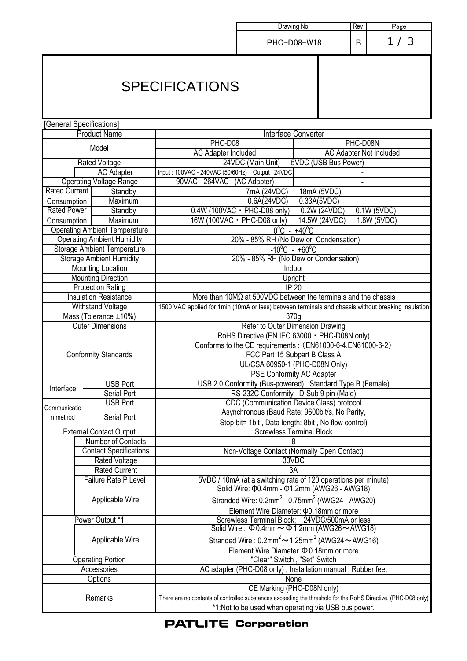|                             |                       |                                                       |                                                                                                                                                                                  | Drawing No.<br>Rev.                                                                                                                                |               | Page |               |
|-----------------------------|-----------------------|-------------------------------------------------------|----------------------------------------------------------------------------------------------------------------------------------------------------------------------------------|----------------------------------------------------------------------------------------------------------------------------------------------------|---------------|------|---------------|
|                             |                       |                                                       |                                                                                                                                                                                  | PHC-D08-W18<br>B                                                                                                                                   |               | 1/3  |               |
|                             | <b>SPECIFICATIONS</b> |                                                       |                                                                                                                                                                                  |                                                                                                                                                    |               |      |               |
| [General Specifications]    |                       |                                                       |                                                                                                                                                                                  |                                                                                                                                                    |               |      |               |
|                             |                       | <b>Product Name</b>                                   | Interface Converter                                                                                                                                                              |                                                                                                                                                    |               |      |               |
|                             |                       | Model                                                 | PHC-D08<br>PHC-D08N                                                                                                                                                              |                                                                                                                                                    |               |      |               |
|                             |                       | <b>Rated Voltage</b>                                  | <b>AC Adapter Included</b><br><b>AC Adapter Not Included</b><br>5VDC (USB Bus Power)<br>24VDC (Main Unit)                                                                        |                                                                                                                                                    |               |      |               |
|                             |                       | <b>AC Adapter</b>                                     | Input: 100VAC - 240VAC (50/60Hz) Output: 24VDC                                                                                                                                   |                                                                                                                                                    |               |      |               |
|                             |                       | <b>Operating Voltage Range</b>                        | 90VAC - 264VAC (AC Adapter)                                                                                                                                                      |                                                                                                                                                    |               |      |               |
| <b>Rated Current</b>        |                       | Standby                                               |                                                                                                                                                                                  | 7mA (24VDC)                                                                                                                                        | 18mA (5VDC)   |      |               |
| Consumption                 |                       | Maximum                                               |                                                                                                                                                                                  | 0.6A(24VDC)                                                                                                                                        | 0.33A(5VDC)   |      |               |
| <b>Rated Power</b>          |                       | Standby                                               |                                                                                                                                                                                  | $0.4W(100VAC - PHC-D08 only)$                                                                                                                      | 0.2W (24VDC)  |      | $0.1W$ (5VDC) |
| Consumption                 |                       | Maximum                                               |                                                                                                                                                                                  | 16W (100VAC · PHC-D08 only)                                                                                                                        | 14.5W (24VDC) |      | 1.8W(5VDC)    |
|                             |                       | <b>Operating Ambient Temperature</b>                  |                                                                                                                                                                                  | $0^{\circ}$ C - +40 $^{\circ}$ C                                                                                                                   |               |      |               |
|                             |                       | <b>Operating Ambient Humidity</b>                     |                                                                                                                                                                                  | 20% - 85% RH (No Dew or Condensation)                                                                                                              |               |      |               |
|                             |                       | <b>Storage Ambient Temperature</b>                    |                                                                                                                                                                                  | $-10^{\circ}$ C - +60 $^{\circ}$ C                                                                                                                 |               |      |               |
|                             |                       | <b>Storage Ambient Humidity</b>                       |                                                                                                                                                                                  | 20% - 85% RH (No Dew or Condensation)                                                                                                              |               |      |               |
|                             |                       | <b>Mounting Location</b><br><b>Mounting Direction</b> | Indoor                                                                                                                                                                           |                                                                                                                                                    |               |      |               |
|                             |                       | <b>Protection Rating</b>                              | Upright<br>IP <sub>20</sub>                                                                                                                                                      |                                                                                                                                                    |               |      |               |
|                             |                       | <b>Insulation Resistance</b>                          | More than $10M\Omega$ at 500VDC between the terminals and the chassis                                                                                                            |                                                                                                                                                    |               |      |               |
|                             |                       | Withstand Voltage                                     | 1500 VAC applied for 1min (10mA or less) between terminals and chassis without breaking insulation                                                                               |                                                                                                                                                    |               |      |               |
|                             |                       | Mass (Tolerance ±10%)                                 | 370g                                                                                                                                                                             |                                                                                                                                                    |               |      |               |
|                             |                       | <b>Outer Dimensions</b>                               | Refer to Outer Dimension Drawing                                                                                                                                                 |                                                                                                                                                    |               |      |               |
| <b>Conformity Standards</b> |                       |                                                       | RoHS Directive (EN IEC 63000 · PHC-D08N only)<br>Conforms to the CE requirements : (EN61000-6-4, EN61000-6-2)<br>FCC Part 15 Subpart B Class A<br>UL/CSA 60950-1 (PHC-D08N Only) |                                                                                                                                                    |               |      |               |
|                             |                       | <b>USB Port</b>                                       | <b>PSE Conformity AC Adapter</b><br>USB 2.0 Conformity (Bus-powered) Standard Type B (Female)                                                                                    |                                                                                                                                                    |               |      |               |
| Interface                   |                       | Serial Port                                           |                                                                                                                                                                                  | RS-232C Conformity D-Sub 9 pin (Male)                                                                                                              |               |      |               |
|                             |                       | <b>USB Port</b>                                       |                                                                                                                                                                                  |                                                                                                                                                    |               |      |               |
| Communicatio<br>n method    |                       | Serial Port                                           |                                                                                                                                                                                  | CDC (Communication Device Class) protocol<br>Asynchronous (Baud Rate: 9600bit/s, No Parity,<br>Stop bit= 1bit, Data length: 8bit, No flow control) |               |      |               |
|                             |                       | <b>External Contact Output</b>                        | <b>Screwless Terminal Block</b>                                                                                                                                                  |                                                                                                                                                    |               |      |               |
|                             |                       | Number of Contacts                                    |                                                                                                                                                                                  | 8                                                                                                                                                  |               |      |               |
|                             |                       | <b>Contact Specifications</b>                         | Non-Voltage Contact (Normally Open Contact)                                                                                                                                      |                                                                                                                                                    |               |      |               |
|                             |                       | <b>Rated Voltage</b>                                  | 30VDC                                                                                                                                                                            |                                                                                                                                                    |               |      |               |
|                             |                       | <b>Rated Current</b>                                  |                                                                                                                                                                                  | 3A                                                                                                                                                 |               |      |               |
|                             |                       | Failure Rate P Level                                  | 5VDC / 10mA (at a switching rate of 120 operations per minute)<br>Solid Wire: $\Phi$ 0.4mm - $\Phi$ 1.2mm (AWG26 - AWG18)                                                        |                                                                                                                                                    |               |      |               |
|                             |                       | Applicable Wire                                       | Stranded Wire: $0.2$ mm <sup>2</sup> - $0.75$ mm <sup>2</sup> (AWG24 - AWG20)                                                                                                    |                                                                                                                                                    |               |      |               |
|                             |                       |                                                       | Element Wire Diameter: ¢0.18mm or more<br>Screwless Terminal Block; 24VDC/500mA or less                                                                                          |                                                                                                                                                    |               |      |               |
|                             | Power Output *1       |                                                       |                                                                                                                                                                                  |                                                                                                                                                    |               |      |               |
|                             |                       | Applicable Wire                                       | Solid Wire: $\Phi$ 0.4mm $\sim$ $\Phi$ 1.2mm (AWG26 $\sim$ AWG18)<br>Stranded Wire: $0.2$ mm <sup>2</sup> $\sim$ 1.25mm <sup>2</sup> (AWG24 $\sim$ AWG16)                        |                                                                                                                                                    |               |      |               |
| <b>Operating Portion</b>    |                       |                                                       | Element Wire Diameter $\Phi$ 0.18mm or more<br>"Clear" Switch, "Set" Switch                                                                                                      |                                                                                                                                                    |               |      |               |
| Accessories                 |                       |                                                       | AC adapter (PHC-D08 only), Installation manual, Rubber feet                                                                                                                      |                                                                                                                                                    |               |      |               |
| Options                     |                       |                                                       | None                                                                                                                                                                             |                                                                                                                                                    |               |      |               |
| Remarks                     |                       |                                                       | CE Marking (PHC-D08N only)<br>There are no contents of controlled substances exceeding the threshold for the RoHS Directive. (PHC-D08 only)                                      |                                                                                                                                                    |               |      |               |
|                             |                       |                                                       | *1:Not to be used when operating via USB bus power.                                                                                                                              |                                                                                                                                                    |               |      |               |

**PATLITE Corporation**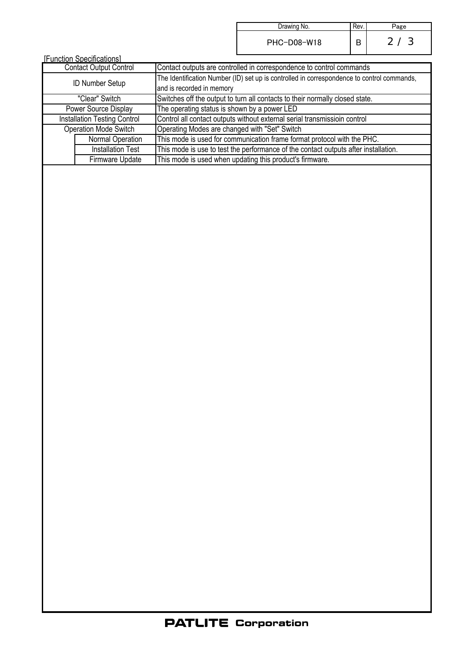| Drawing No. | Rev | ⊃age                 |
|-------------|-----|----------------------|
| PHC-D08-W18 |     | -3<br>2 <sup>7</sup> |

| <b>IFunction Specifications1</b>    |                          |                                                                                                                         |  |  |  |  |
|-------------------------------------|--------------------------|-------------------------------------------------------------------------------------------------------------------------|--|--|--|--|
| <b>Contact Output Control</b>       |                          | Contact outputs are controlled in correspondence to control commands                                                    |  |  |  |  |
| <b>ID Number Setup</b>              |                          | The Identification Number (ID) set up is controlled in correspondence to control commands,<br>and is recorded in memory |  |  |  |  |
| "Clear" Switch                      |                          | Switches off the output to turn all contacts to their normally closed state.                                            |  |  |  |  |
| Power Source Display                |                          | The operating status is shown by a power LED                                                                            |  |  |  |  |
| <b>Installation Testing Control</b> |                          | Control all contact outputs without external serial transmissioin control                                               |  |  |  |  |
| Operation Mode Switch               |                          | Operating Modes are changed with "Set" Switch                                                                           |  |  |  |  |
|                                     | Normal Operation         | This mode is used for communication frame format protocol with the PHC.                                                 |  |  |  |  |
|                                     | <b>Installation Test</b> | This mode is use to test the performance of the contact outputs after installation.                                     |  |  |  |  |
|                                     | Firmware Update          | This mode is used when updating this product's firmware.                                                                |  |  |  |  |